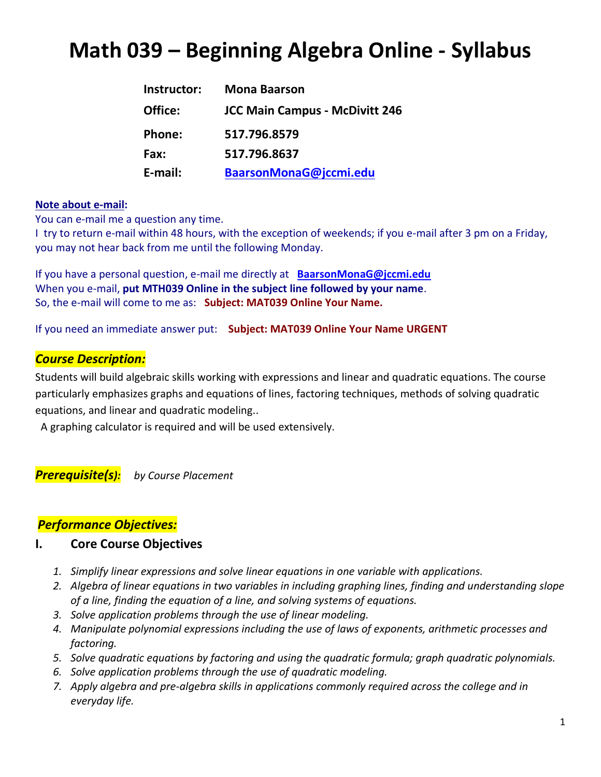# **Math 039 – Beginning Algebra Online - Syllabus**

| Instructor: | <b>Mona Baarson</b>                   |
|-------------|---------------------------------------|
| Office:     | <b>JCC Main Campus - McDivitt 246</b> |
| Phone:      | 517.796.8579                          |
| Fax:        | 517.796.8637                          |
| E-mail:     | BaarsonMonaG@jccmi.edu                |

#### **Note about e-mail:**

You can e-mail me a question any time.

I try to return e-mail within 48 hours, with the exception of weekends; if you e-mail after 3 pm on a Friday, you may not hear back from me until the following Monday.

If you have a personal question, e-mail me directly at **[BaarsonMonaG@jccmi.edu](mailto:mona_baarson@jccmi.edu)** When you e-mail, **put MTH039 Online in the subject line followed by your name**. So, the e-mail will come to me as: **Subject: MAT039 Online Your Name.**

If you need an immediate answer put: **Subject: MAT039 Online Your Name URGENT**

### *Course Description:*

Students will build algebraic skills working with expressions and linear and quadratic equations. The course particularly emphasizes graphs and equations of lines, factoring techniques, methods of solving quadratic equations, and linear and quadratic modeling..

A graphing calculator is required and will be used extensively.

*Prerequisite(s): by Course Placement*

#### *Performance Objectives:*

#### **I. Core Course Objectives**

- *1. Simplify linear expressions and solve linear equations in one variable with applications.*
- *2. Algebra of linear equations in two variables in including graphing lines, finding and understanding slope of a line, finding the equation of a line, and solving systems of equations.*
- *3. Solve application problems through the use of linear modeling.*
- *4. Manipulate polynomial expressions including the use of laws of exponents, arithmetic processes and factoring.*
- *5. Solve quadratic equations by factoring and using the quadratic formula; graph quadratic polynomials.*
- *6. Solve application problems through the use of quadratic modeling.*
- *7. Apply algebra and pre-algebra skills in applications commonly required across the college and in everyday life.*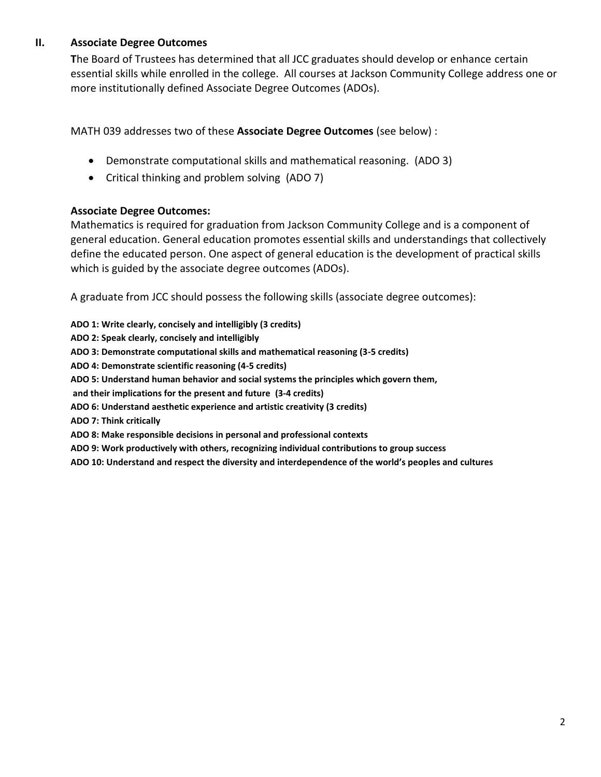#### **II. Associate Degree Outcomes**

 **T**he Board of Trustees has determined that all JCC graduates should develop or enhance certain essential skills while enrolled in the college. All courses at Jackson Community College address one or more institutionally defined Associate Degree Outcomes (ADOs).

MATH 039 addresses two of these **Associate Degree Outcomes** (see below) :

- Demonstrate computational skills and mathematical reasoning. (ADO 3)
- Critical thinking and problem solving (ADO 7)

#### **Associate Degree Outcomes:**

Mathematics is required for graduation from Jackson Community College and is a component of general education. General education promotes essential skills and understandings that collectively define the educated person. One aspect of general education is the development of practical skills which is guided by the associate degree outcomes (ADOs).

A graduate from JCC should possess the following skills (associate degree outcomes):

**ADO 1: Write clearly, concisely and intelligibly (3 credits)**

**ADO 2: Speak clearly, concisely and intelligibly**

**ADO 3: Demonstrate computational skills and mathematical reasoning (3-5 credits)**

**ADO 4: Demonstrate scientific reasoning (4-5 credits)**

**ADO 5: Understand human behavior and social systems the principles which govern them,**

 **and their implications for the present and future (3-4 credits)**

- **ADO 6: Understand aesthetic experience and artistic creativity (3 credits)**
- **ADO 7: Think critically**

**ADO 8: Make responsible decisions in personal and professional contexts**

**ADO 9: Work productively with others, recognizing individual contributions to group success**

**ADO 10: Understand and respect the diversity and interdependence of the world's peoples and cultures**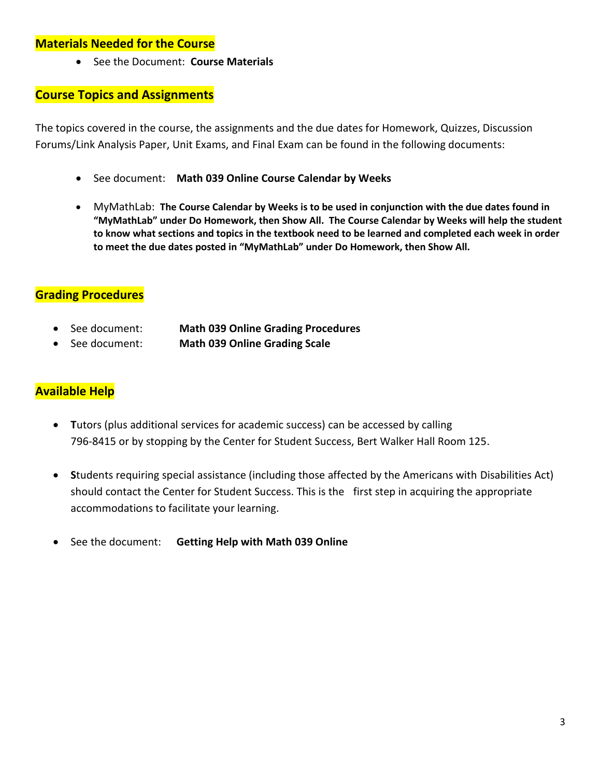#### **Materials Needed for the Course**

See the Document: **Course Materials**

### **Course Topics and Assignments**

The topics covered in the course, the assignments and the due dates for Homework, Quizzes, Discussion Forums/Link Analysis Paper, Unit Exams, and Final Exam can be found in the following documents:

- See document: **Math 039 Online Course Calendar by Weeks**
- MyMathLab: **The Course Calendar by Weeks is to be used in conjunction with the due dates found in "MyMathLab" under Do Homework, then Show All. The Course Calendar by Weeks will help the student to know what sections and topics in the textbook need to be learned and completed each week in order to meet the due dates posted in "MyMathLab" under Do Homework, then Show All.**

### **Grading Procedures**

- See document: **Math 039 Online Grading Procedures**
- See document: **Math 039 Online Grading Scale**

### **Available Help**

- **T**utors (plus additional services for academic success) can be accessed by calling 796-8415 or by stopping by the Center for Student Success, Bert Walker Hall Room 125.
- **S**tudents requiring special assistance (including those affected by the Americans with Disabilities Act) should contact the Center for Student Success. This is the first step in acquiring the appropriate accommodations to facilitate your learning.
- See the document: **Getting Help with Math 039 Online**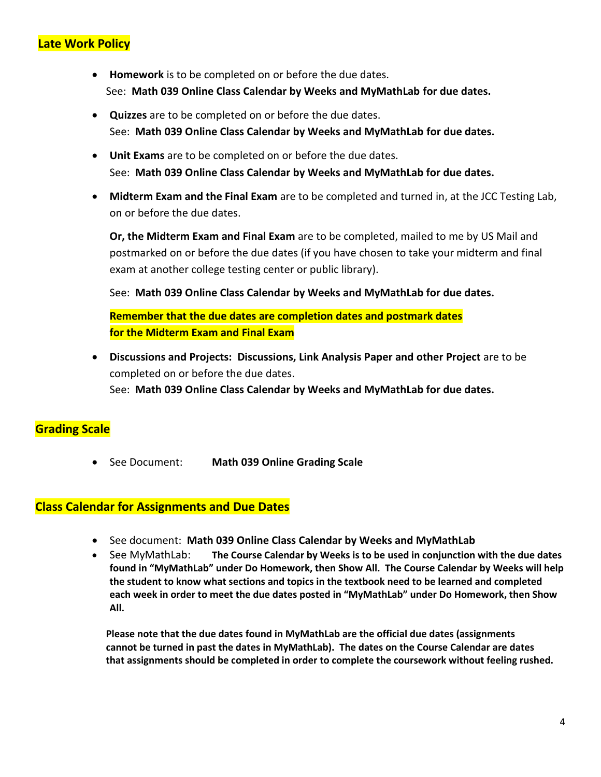### **Late Work Policy**

- **Homework** is to be completed on or before the due dates. See: **Math 039 Online Class Calendar by Weeks and MyMathLab for due dates.**
- **Quizzes** are to be completed on or before the due dates. See: **Math 039 Online Class Calendar by Weeks and MyMathLab for due dates.**
- **Unit Exams** are to be completed on or before the due dates. See: **Math 039 Online Class Calendar by Weeks and MyMathLab for due dates.**
- **Midterm Exam and the Final Exam** are to be completed and turned in, at the JCC Testing Lab, on or before the due dates.

**Or, the Midterm Exam and Final Exam** are to be completed, mailed to me by US Mail and postmarked on or before the due dates (if you have chosen to take your midterm and final exam at another college testing center or public library).

See: **Math 039 Online Class Calendar by Weeks and MyMathLab for due dates.**

**Remember that the due dates are completion dates and postmark dates for the Midterm Exam and Final Exam**

 **Discussions and Projects: Discussions, Link Analysis Paper and other Project** are to be completed on or before the due dates. See: **Math 039 Online Class Calendar by Weeks and MyMathLab for due dates.**

### **Grading Scale**

See Document: **Math 039 Online Grading Scale**

#### **Class Calendar for Assignments and Due Dates**

- See document: **Math 039 Online Class Calendar by Weeks and MyMathLab**
- See MyMathLab: **The Course Calendar by Weeks is to be used in conjunction with the due dates found in "MyMathLab" under Do Homework, then Show All. The Course Calendar by Weeks will help the student to know what sections and topics in the textbook need to be learned and completed each week in order to meet the due dates posted in "MyMathLab" under Do Homework, then Show All.**

**Please note that the due dates found in MyMathLab are the official due dates (assignments cannot be turned in past the dates in MyMathLab). The dates on the Course Calendar are dates that assignments should be completed in order to complete the coursework without feeling rushed.**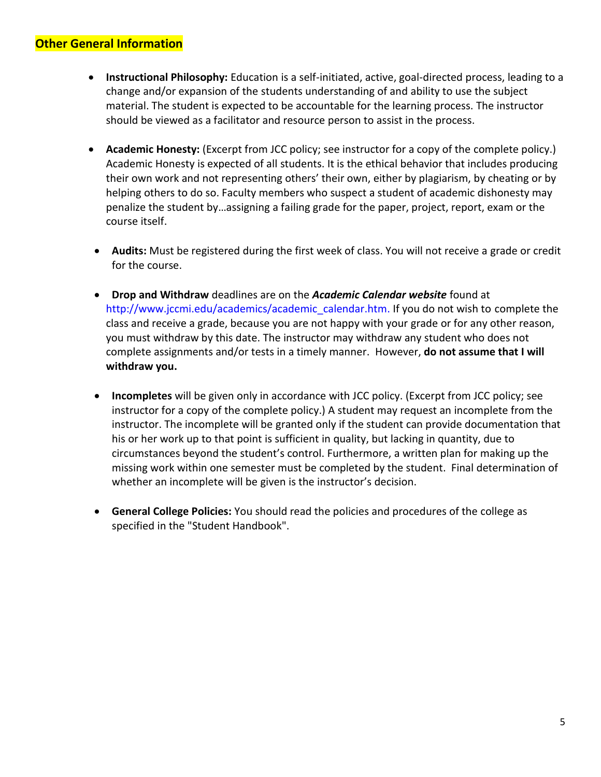#### **Other General Information**

- **Instructional Philosophy:** Education is a self-initiated, active, goal-directed process, leading to a change and/or expansion of the students understanding of and ability to use the subject material. The student is expected to be accountable for the learning process. The instructor should be viewed as a facilitator and resource person to assist in the process.
- **Academic Honesty:** (Excerpt from JCC policy; see instructor for a copy of the complete policy.) Academic Honesty is expected of all students. It is the ethical behavior that includes producing their own work and not representing others' their own, either by plagiarism, by cheating or by helping others to do so. Faculty members who suspect a student of academic dishonesty may penalize the student by…assigning a failing grade for the paper, project, report, exam or the course itself.
- **Audits:** Must be registered during the first week of class. You will not receive a grade or credit for the course.
- **Drop and Withdraw** deadlines are on the *Academic Calendar website* found at http://www.jccmi.edu/academics/academic\_calendar.htm. If you do not wish to complete the class and receive a grade, because you are not happy with your grade or for any other reason, you must withdraw by this date. The instructor may withdraw any student who does not complete assignments and/or tests in a timely manner. However, **do not assume that I will withdraw you.**
- **Incompletes** will be given only in accordance with JCC policy. (Excerpt from JCC policy; see instructor for a copy of the complete policy.) A student may request an incomplete from the instructor. The incomplete will be granted only if the student can provide documentation that his or her work up to that point is sufficient in quality, but lacking in quantity, due to circumstances beyond the student's control. Furthermore, a written plan for making up the missing work within one semester must be completed by the student. Final determination of whether an incomplete will be given is the instructor's decision.
- **General College Policies:** You should read the policies and procedures of the college as specified in the "Student Handbook".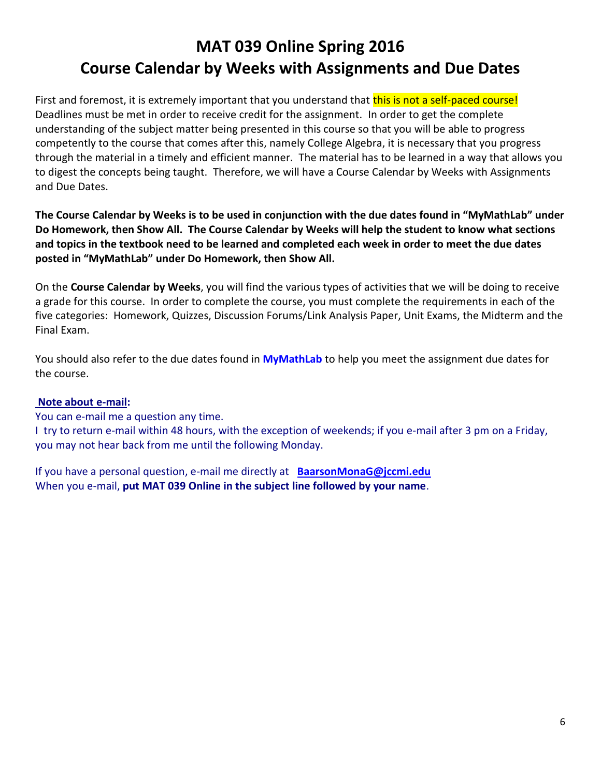First and foremost, it is extremely important that you understand that this is not a self-paced course! Deadlines must be met in order to receive credit for the assignment. In order to get the complete understanding of the subject matter being presented in this course so that you will be able to progress competently to the course that comes after this, namely College Algebra, it is necessary that you progress through the material in a timely and efficient manner. The material has to be learned in a way that allows you to digest the concepts being taught. Therefore, we will have a Course Calendar by Weeks with Assignments and Due Dates.

**The Course Calendar by Weeks is to be used in conjunction with the due dates found in "MyMathLab" under Do Homework, then Show All. The Course Calendar by Weeks will help the student to know what sections and topics in the textbook need to be learned and completed each week in order to meet the due dates posted in "MyMathLab" under Do Homework, then Show All.**

On the **Course Calendar by Weeks**, you will find the various types of activities that we will be doing to receive a grade for this course. In order to complete the course, you must complete the requirements in each of the five categories: Homework, Quizzes, Discussion Forums/Link Analysis Paper, Unit Exams, the Midterm and the Final Exam.

You should also refer to the due dates found in **MyMathLab** to help you meet the assignment due dates for the course.

#### **Note about e-mail:**

You can e-mail me a question any time.

I try to return e-mail within 48 hours, with the exception of weekends; if you e-mail after 3 pm on a Friday, you may not hear back from me until the following Monday.

If you have a personal question, e-mail me directly at **[BaarsonMonaG@jccmi.edu](mailto:mona_baarson@jccmi.edu)** When you e-mail, **put MAT 039 Online in the subject line followed by your name**.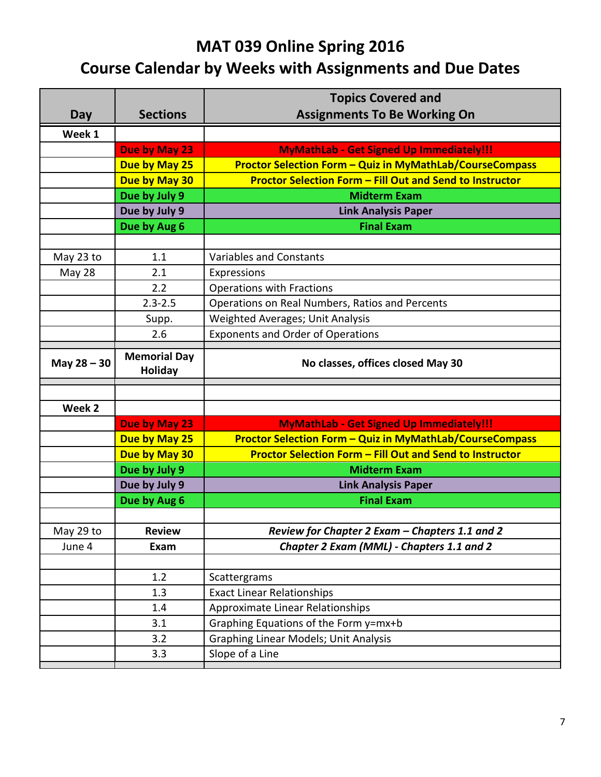|               |                     | <b>Topics Covered and</b>                                       |
|---------------|---------------------|-----------------------------------------------------------------|
| Day           | <b>Sections</b>     | <b>Assignments To Be Working On</b>                             |
| Week 1        |                     |                                                                 |
|               | Due by May 23       | <b>MyMathLab - Get Signed Up Immediately!!!</b>                 |
|               | Due by May 25       | <b>Proctor Selection Form - Quiz in MyMathLab/CourseCompass</b> |
|               | Due by May 30       | <b>Proctor Selection Form - Fill Out and Send to Instructor</b> |
|               | Due by July 9       | <b>Midterm Exam</b>                                             |
|               | Due by July 9       | <b>Link Analysis Paper</b>                                      |
|               | Due by Aug 6        | <b>Final Exam</b>                                               |
|               |                     |                                                                 |
| May 23 to     | 1.1                 | <b>Variables and Constants</b>                                  |
| May 28        | 2.1                 | Expressions                                                     |
|               | 2.2                 | <b>Operations with Fractions</b>                                |
|               | $2.3 - 2.5$         | Operations on Real Numbers, Ratios and Percents                 |
|               | Supp.               | Weighted Averages; Unit Analysis                                |
|               | 2.6                 | <b>Exponents and Order of Operations</b>                        |
|               | <b>Memorial Day</b> |                                                                 |
| May $28 - 30$ | <b>Holiday</b>      | No classes, offices closed May 30                               |
|               |                     |                                                                 |
|               |                     |                                                                 |
| Week 2        |                     |                                                                 |
|               | Due by May 23       | <b>MyMathLab - Get Signed Up Immediately!!!</b>                 |
|               | Due by May 25       | <b>Proctor Selection Form - Quiz in MyMathLab/CourseCompass</b> |
|               | Due by May 30       | <b>Proctor Selection Form - Fill Out and Send to Instructor</b> |
|               | Due by July 9       | <b>Midterm Exam</b>                                             |
|               | Due by July 9       | <b>Link Analysis Paper</b>                                      |
|               | Due by Aug 6        | <b>Final Exam</b>                                               |
|               |                     |                                                                 |
| May 29 to     | <b>Review</b>       | Review for Chapter 2 Exam - Chapters 1.1 and 2                  |
| June 4        | Exam                | Chapter 2 Exam (MML) - Chapters 1.1 and 2                       |
|               |                     |                                                                 |
|               | 1.2                 | Scattergrams                                                    |
|               | 1.3                 | <b>Exact Linear Relationships</b>                               |
|               | 1.4                 | Approximate Linear Relationships                                |
|               |                     |                                                                 |
|               | 3.1                 | Graphing Equations of the Form y=mx+b                           |
|               | 3.2<br>3.3          | Graphing Linear Models; Unit Analysis<br>Slope of a Line        |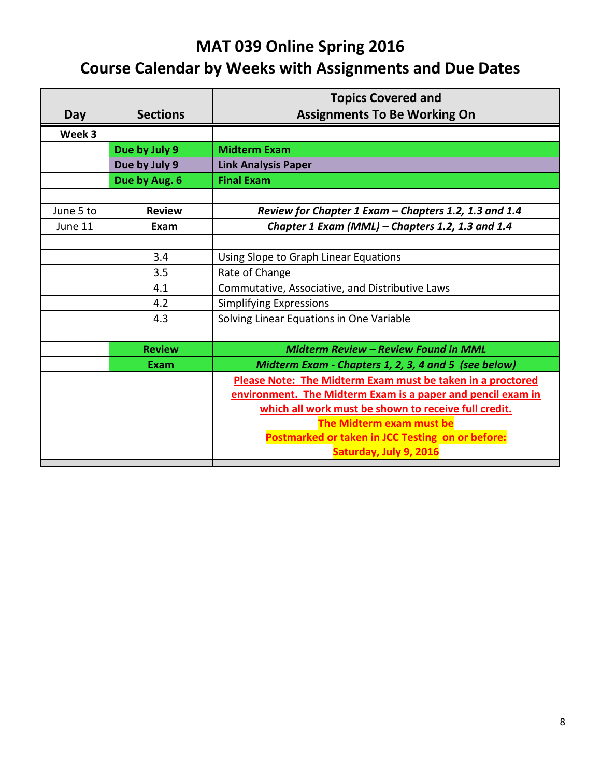|                 | <b>Topics Covered and</b>                                   |
|-----------------|-------------------------------------------------------------|
| <b>Sections</b> | <b>Assignments To Be Working On</b>                         |
|                 |                                                             |
| Due by July 9   | <b>Midterm Exam</b>                                         |
| Due by July 9   | <b>Link Analysis Paper</b>                                  |
| Due by Aug. 6   | <b>Final Exam</b>                                           |
|                 |                                                             |
| <b>Review</b>   | Review for Chapter 1 Exam - Chapters 1.2, 1.3 and 1.4       |
| Exam            | Chapter 1 Exam (MML) - Chapters 1.2, 1.3 and 1.4            |
|                 |                                                             |
| 3.4             | Using Slope to Graph Linear Equations                       |
| 3.5             | Rate of Change                                              |
| 4.1             | Commutative, Associative, and Distributive Laws             |
| 4.2             | <b>Simplifying Expressions</b>                              |
| 4.3             | Solving Linear Equations in One Variable                    |
|                 |                                                             |
| <b>Review</b>   | Midterm Review - Review Found in MML                        |
| <b>Exam</b>     | Midterm Exam - Chapters 1, 2, 3, 4 and 5 (see below)        |
|                 | Please Note: The Midterm Exam must be taken in a proctored  |
|                 | environment. The Midterm Exam is a paper and pencil exam in |
|                 | which all work must be shown to receive full credit.        |
|                 | The Midterm exam must be                                    |
|                 | Postmarked or taken in JCC Testing on or before:            |
|                 | Saturday, July 9, 2016                                      |
|                 |                                                             |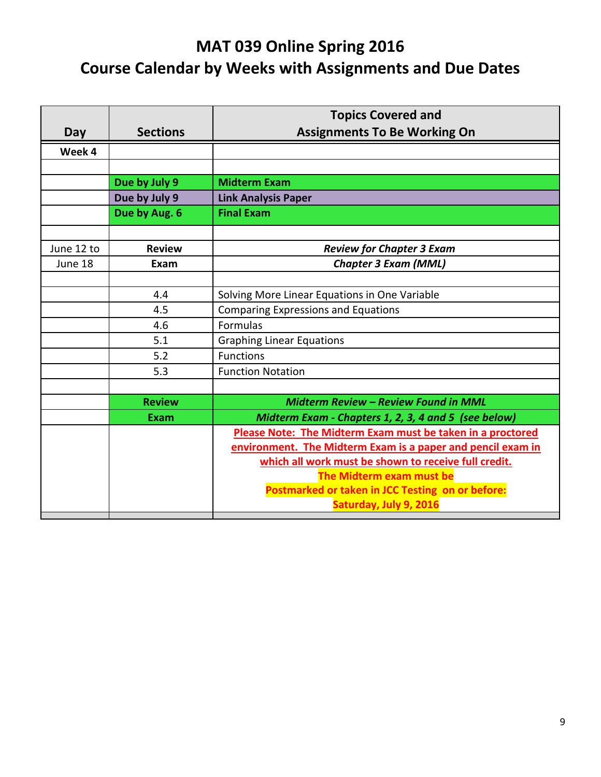|            |                 | <b>Topics Covered and</b>                                   |
|------------|-----------------|-------------------------------------------------------------|
| Day        | <b>Sections</b> | <b>Assignments To Be Working On</b>                         |
| Week 4     |                 |                                                             |
|            |                 |                                                             |
|            | Due by July 9   | <b>Midterm Exam</b>                                         |
|            | Due by July 9   | <b>Link Analysis Paper</b>                                  |
|            | Due by Aug. 6   | <b>Final Exam</b>                                           |
|            |                 |                                                             |
| June 12 to | <b>Review</b>   | <b>Review for Chapter 3 Exam</b>                            |
| June 18    | Exam            | <b>Chapter 3 Exam (MML)</b>                                 |
|            |                 |                                                             |
|            | 4.4             | Solving More Linear Equations in One Variable               |
|            | 4.5             | <b>Comparing Expressions and Equations</b>                  |
|            | 4.6             | Formulas                                                    |
|            | 5.1             | <b>Graphing Linear Equations</b>                            |
|            | 5.2             | <b>Functions</b>                                            |
|            | 5.3             | <b>Function Notation</b>                                    |
|            |                 |                                                             |
|            | <b>Review</b>   | Midterm Review - Review Found in MML                        |
|            | <b>Exam</b>     | Midterm Exam - Chapters 1, 2, 3, 4 and 5 (see below)        |
|            |                 | Please Note: The Midterm Exam must be taken in a proctored  |
|            |                 | environment. The Midterm Exam is a paper and pencil exam in |
|            |                 | which all work must be shown to receive full credit.        |
|            |                 | The Midterm exam must be                                    |
|            |                 | Postmarked or taken in JCC Testing on or before:            |
|            |                 | Saturday, July 9, 2016                                      |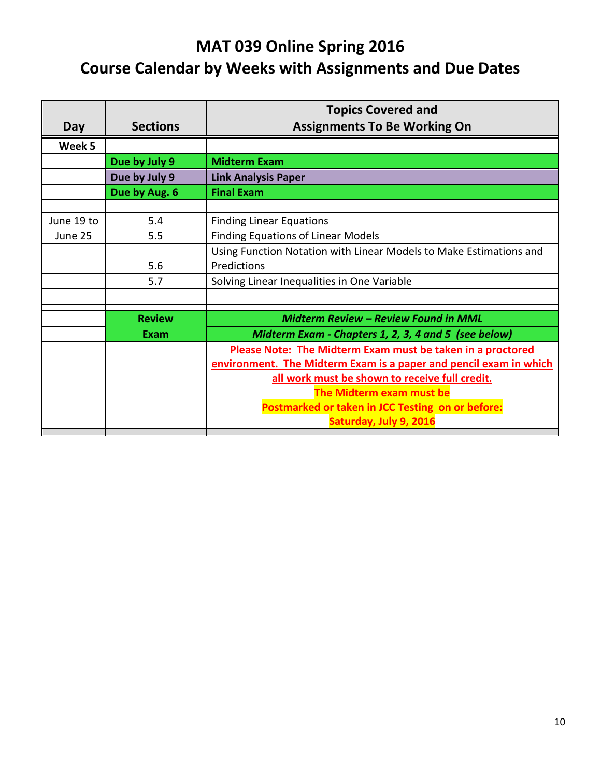|            |                 | <b>Topics Covered and</b>                                          |
|------------|-----------------|--------------------------------------------------------------------|
| Day        | <b>Sections</b> | <b>Assignments To Be Working On</b>                                |
| Week 5     |                 |                                                                    |
|            | Due by July 9   | <b>Midterm Exam</b>                                                |
|            | Due by July 9   | <b>Link Analysis Paper</b>                                         |
|            | Due by Aug. 6   | <b>Final Exam</b>                                                  |
|            |                 |                                                                    |
| June 19 to | 5.4             | <b>Finding Linear Equations</b>                                    |
| June 25    | 5.5             | <b>Finding Equations of Linear Models</b>                          |
|            |                 | Using Function Notation with Linear Models to Make Estimations and |
|            | 5.6             | Predictions                                                        |
|            | 5.7             | Solving Linear Inequalities in One Variable                        |
|            |                 |                                                                    |
|            | <b>Review</b>   | <b>Midterm Review - Review Found in MML</b>                        |
|            | Exam            | Midterm Exam - Chapters 1, 2, 3, 4 and 5 (see below)               |
|            |                 | Please Note: The Midterm Exam must be taken in a proctored         |
|            |                 | environment. The Midterm Exam is a paper and pencil exam in which  |
|            |                 | all work must be shown to receive full credit.                     |
|            |                 | The Midterm exam must be                                           |
|            |                 | Postmarked or taken in JCC Testing on or before:                   |
|            |                 | Saturday, July 9, 2016                                             |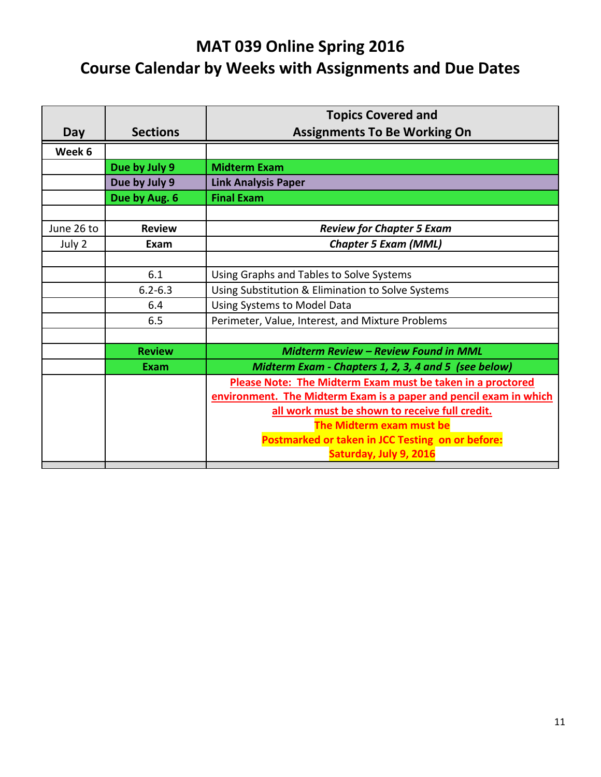|            |                 | <b>Topics Covered and</b>                                         |
|------------|-----------------|-------------------------------------------------------------------|
| Day        | <b>Sections</b> | <b>Assignments To Be Working On</b>                               |
| Week 6     |                 |                                                                   |
|            | Due by July 9   | <b>Midterm Exam</b>                                               |
|            | Due by July 9   | <b>Link Analysis Paper</b>                                        |
|            | Due by Aug. 6   | <b>Final Exam</b>                                                 |
|            |                 |                                                                   |
| June 26 to | <b>Review</b>   | <b>Review for Chapter 5 Exam</b>                                  |
| July 2     | Exam            | <b>Chapter 5 Exam (MML)</b>                                       |
|            |                 |                                                                   |
|            | 6.1             | Using Graphs and Tables to Solve Systems                          |
|            | $6.2 - 6.3$     | Using Substitution & Elimination to Solve Systems                 |
|            | 6.4             | Using Systems to Model Data                                       |
|            | 6.5             | Perimeter, Value, Interest, and Mixture Problems                  |
|            |                 |                                                                   |
|            | <b>Review</b>   | Midterm Review - Review Found in MML                              |
|            | Exam            | Midterm Exam - Chapters 1, 2, 3, 4 and 5 (see below)              |
|            |                 | Please Note: The Midterm Exam must be taken in a proctored        |
|            |                 | environment. The Midterm Exam is a paper and pencil exam in which |
|            |                 | all work must be shown to receive full credit.                    |
|            |                 | The Midterm exam must be                                          |
|            |                 | Postmarked or taken in JCC Testing on or before:                  |
|            |                 | Saturday, July 9, 2016                                            |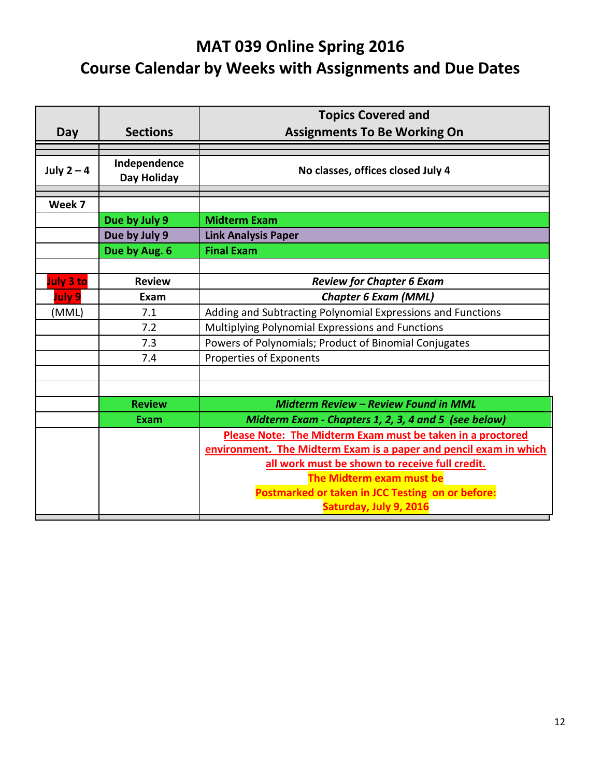|               |                             | <b>Topics Covered and</b>                                         |
|---------------|-----------------------------|-------------------------------------------------------------------|
| Day           | <b>Sections</b>             | <b>Assignments To Be Working On</b>                               |
|               |                             |                                                                   |
| July $2 - 4$  | Independence<br>Day Holiday | No classes, offices closed July 4                                 |
|               |                             |                                                                   |
| Week 7        |                             |                                                                   |
|               | Due by July 9               | <b>Midterm Exam</b>                                               |
|               | Due by July 9               | <b>Link Analysis Paper</b>                                        |
|               | Due by Aug. 6               | <b>Final Exam</b>                                                 |
|               |                             |                                                                   |
| July 3 to     | <b>Review</b>               | <b>Review for Chapter 6 Exam</b>                                  |
| <b>July 9</b> | Exam                        | <b>Chapter 6 Exam (MML)</b>                                       |
| (MML)         | 7.1                         | Adding and Subtracting Polynomial Expressions and Functions       |
|               | 7.2                         | Multiplying Polynomial Expressions and Functions                  |
|               | 7.3                         | Powers of Polynomials; Product of Binomial Conjugates             |
|               | 7.4                         | Properties of Exponents                                           |
|               |                             |                                                                   |
|               |                             |                                                                   |
|               | <b>Review</b>               | Midterm Review - Review Found in MML                              |
|               | <b>Exam</b>                 | Midterm Exam - Chapters 1, 2, 3, 4 and 5 (see below)              |
|               |                             | Please Note: The Midterm Exam must be taken in a proctored        |
|               |                             | environment. The Midterm Exam is a paper and pencil exam in which |
|               |                             | all work must be shown to receive full credit.                    |
|               |                             | The Midterm exam must be                                          |
|               |                             | Postmarked or taken in JCC Testing on or before:                  |
|               |                             | Saturday, July 9, 2016                                            |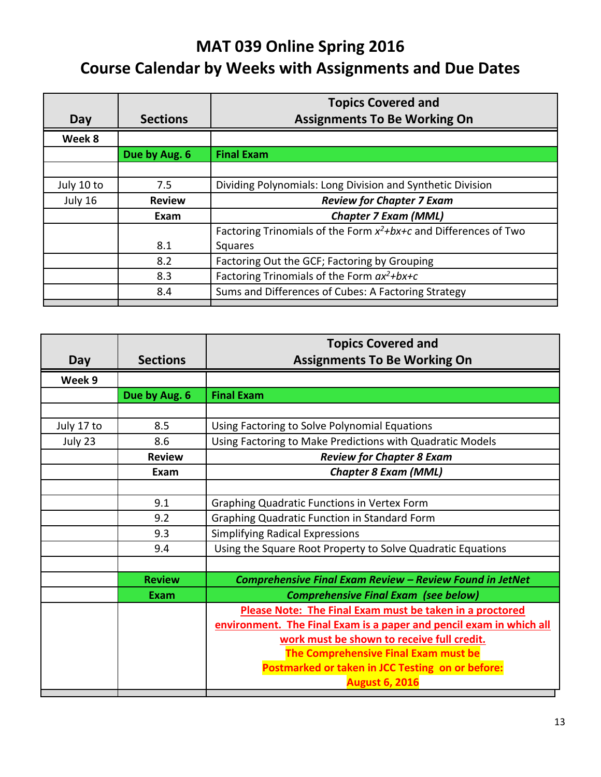|            |                 | <b>Topics Covered and</b>                                              |
|------------|-----------------|------------------------------------------------------------------------|
| Day        | <b>Sections</b> | <b>Assignments To Be Working On</b>                                    |
| Week 8     |                 |                                                                        |
|            | Due by Aug. 6   | <b>Final Exam</b>                                                      |
|            |                 |                                                                        |
| July 10 to | 7.5             | Dividing Polynomials: Long Division and Synthetic Division             |
| July 16    | <b>Review</b>   | <b>Review for Chapter 7 Exam</b>                                       |
|            | Exam            | <b>Chapter 7 Exam (MML)</b>                                            |
|            |                 | Factoring Trinomials of the Form $x^2 + bx + c$ and Differences of Two |
|            | 8.1             | Squares                                                                |
|            | 8.2             | Factoring Out the GCF; Factoring by Grouping                           |
|            | 8.3             | Factoring Trinomials of the Form $ax^2+bx+c$                           |
|            | 8.4             | Sums and Differences of Cubes: A Factoring Strategy                    |
|            |                 |                                                                        |

|            |                 | <b>Topics Covered and</b>                                           |
|------------|-----------------|---------------------------------------------------------------------|
| Day        | <b>Sections</b> | <b>Assignments To Be Working On</b>                                 |
| Week 9     |                 |                                                                     |
|            | Due by Aug. 6   | <b>Final Exam</b>                                                   |
|            |                 |                                                                     |
| July 17 to | 8.5             | Using Factoring to Solve Polynomial Equations                       |
| July 23    | 8.6             | Using Factoring to Make Predictions with Quadratic Models           |
|            | <b>Review</b>   | <b>Review for Chapter 8 Exam</b>                                    |
|            | Exam            | <b>Chapter 8 Exam (MML)</b>                                         |
|            |                 |                                                                     |
|            | 9.1             | Graphing Quadratic Functions in Vertex Form                         |
|            | 9.2             | Graphing Quadratic Function in Standard Form                        |
|            | 9.3             | <b>Simplifying Radical Expressions</b>                              |
|            | 9.4             | Using the Square Root Property to Solve Quadratic Equations         |
|            |                 |                                                                     |
|            | <b>Review</b>   | Comprehensive Final Exam Review - Review Found in JetNet            |
|            | <b>Exam</b>     | <b>Comprehensive Final Exam (see below)</b>                         |
|            |                 | Please Note: The Final Exam must be taken in a proctored            |
|            |                 | environment. The Final Exam is a paper and pencil exam in which all |
|            |                 | work must be shown to receive full credit.                          |
|            |                 | The Comprehensive Final Exam must be                                |
|            |                 | Postmarked or taken in JCC Testing on or before:                    |
|            |                 | <b>August 6, 2016</b>                                               |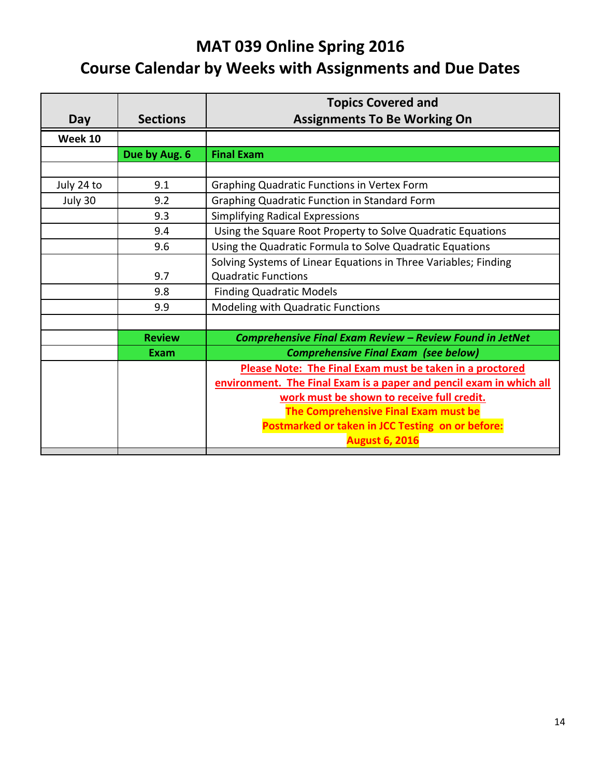|            |                 | <b>Topics Covered and</b>                                           |
|------------|-----------------|---------------------------------------------------------------------|
| Day        | <b>Sections</b> | <b>Assignments To Be Working On</b>                                 |
| Week 10    |                 |                                                                     |
|            | Due by Aug. 6   | <b>Final Exam</b>                                                   |
|            |                 |                                                                     |
| July 24 to | 9.1             | <b>Graphing Quadratic Functions in Vertex Form</b>                  |
| July 30    | 9.2             | <b>Graphing Quadratic Function in Standard Form</b>                 |
|            | 9.3             | <b>Simplifying Radical Expressions</b>                              |
|            | 9.4             | Using the Square Root Property to Solve Quadratic Equations         |
|            | 9.6             | Using the Quadratic Formula to Solve Quadratic Equations            |
|            |                 | Solving Systems of Linear Equations in Three Variables; Finding     |
|            | 9.7             | <b>Quadratic Functions</b>                                          |
|            | 9.8             | <b>Finding Quadratic Models</b>                                     |
|            | 9.9             | Modeling with Quadratic Functions                                   |
|            |                 |                                                                     |
|            | <b>Review</b>   | Comprehensive Final Exam Review - Review Found in JetNet            |
|            | Exam            | <b>Comprehensive Final Exam (see below)</b>                         |
|            |                 | Please Note: The Final Exam must be taken in a proctored            |
|            |                 | environment. The Final Exam is a paper and pencil exam in which all |
|            |                 | work must be shown to receive full credit.                          |
|            |                 | The Comprehensive Final Exam must be                                |
|            |                 | Postmarked or taken in JCC Testing on or before:                    |
|            |                 | <b>August 6, 2016</b>                                               |